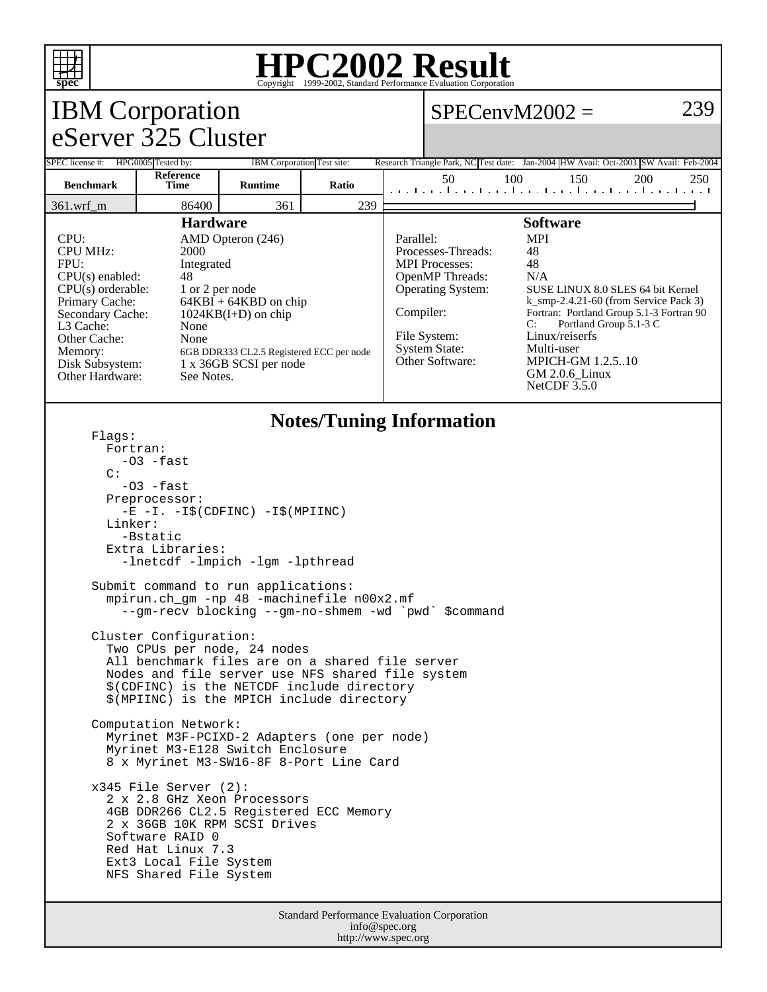

## **HPC2002 Result**

|                                                                                                                                                                                                                                                                                                                                                                                                                                                                                                                                                                                                                                                                                                                                                                                                                                                                                                                                                                                              |                                                                                                                                                                                                                                                                                                                                | Copyright @1999 2002, Dundard Ferrormance Evaluation Corporation<br>239<br>$SPECenvM2002 =$ |       |           |                                                                                                                                                                                                                                                                                                                                                                                                                                                                           |     |     |                                                                                                    |
|----------------------------------------------------------------------------------------------------------------------------------------------------------------------------------------------------------------------------------------------------------------------------------------------------------------------------------------------------------------------------------------------------------------------------------------------------------------------------------------------------------------------------------------------------------------------------------------------------------------------------------------------------------------------------------------------------------------------------------------------------------------------------------------------------------------------------------------------------------------------------------------------------------------------------------------------------------------------------------------------|--------------------------------------------------------------------------------------------------------------------------------------------------------------------------------------------------------------------------------------------------------------------------------------------------------------------------------|---------------------------------------------------------------------------------------------|-------|-----------|---------------------------------------------------------------------------------------------------------------------------------------------------------------------------------------------------------------------------------------------------------------------------------------------------------------------------------------------------------------------------------------------------------------------------------------------------------------------------|-----|-----|----------------------------------------------------------------------------------------------------|
| <b>IBM</b> Corporation<br>eServer 325 Cluster                                                                                                                                                                                                                                                                                                                                                                                                                                                                                                                                                                                                                                                                                                                                                                                                                                                                                                                                                |                                                                                                                                                                                                                                                                                                                                |                                                                                             |       |           |                                                                                                                                                                                                                                                                                                                                                                                                                                                                           |     |     |                                                                                                    |
|                                                                                                                                                                                                                                                                                                                                                                                                                                                                                                                                                                                                                                                                                                                                                                                                                                                                                                                                                                                              |                                                                                                                                                                                                                                                                                                                                |                                                                                             |       |           |                                                                                                                                                                                                                                                                                                                                                                                                                                                                           |     |     |                                                                                                    |
| SPEC license #: HPG0005 Tested by:                                                                                                                                                                                                                                                                                                                                                                                                                                                                                                                                                                                                                                                                                                                                                                                                                                                                                                                                                           | Reference                                                                                                                                                                                                                                                                                                                      | IBM Corporation Test site:                                                                  |       |           | 50                                                                                                                                                                                                                                                                                                                                                                                                                                                                        | 100 | 150 | Research Triangle Park, NC Test date: Jan-2004 HW Avail: Oct-2003 SW Avail: Feb-2004<br>200<br>250 |
| <b>Benchmark</b>                                                                                                                                                                                                                                                                                                                                                                                                                                                                                                                                                                                                                                                                                                                                                                                                                                                                                                                                                                             | <b>Time</b>                                                                                                                                                                                                                                                                                                                    | <b>Runtime</b>                                                                              | Ratio |           |                                                                                                                                                                                                                                                                                                                                                                                                                                                                           |     |     | المتما وتواجه والمتواجئ والمتواجئ والمتواجئ والمتو                                                 |
| 361.wrf_m                                                                                                                                                                                                                                                                                                                                                                                                                                                                                                                                                                                                                                                                                                                                                                                                                                                                                                                                                                                    | 86400<br><b>Hardware</b>                                                                                                                                                                                                                                                                                                       | 361                                                                                         | 239   |           |                                                                                                                                                                                                                                                                                                                                                                                                                                                                           |     |     |                                                                                                    |
| CPU:<br><b>CPU MHz:</b><br>FPU:<br>Primary Cache:<br>L3 Cache:<br>Other Cache:<br>Memory:                                                                                                                                                                                                                                                                                                                                                                                                                                                                                                                                                                                                                                                                                                                                                                                                                                                                                                    | AMD Opteron (246)<br>2000<br>Integrated<br>$CPU(s)$ enabled:<br>48<br>$CPU(s)$ orderable:<br>1 or 2 per node<br>$64KBI + 64KBD$ on chip<br>Secondary Cache:<br>$1024KB(I+D)$ on chip<br>None<br>None<br>6GB DDR333 CL2.5 Registered ECC per node<br>Disk Subsystem:<br>1 x 36GB SCSI per node<br>Other Hardware:<br>See Notes. |                                                                                             |       | Parallel: | <b>Software</b><br><b>MPI</b><br>Processes-Threads:<br>48<br>48<br><b>MPI</b> Processes:<br>OpenMP Threads:<br>N/A<br><b>Operating System:</b><br>SUSE LINUX 8.0 SLES 64 bit Kernel<br>$k$ _smp-2.4.21-60 (from Service Pack 3)<br>Compiler:<br>Fortran: Portland Group 5.1-3 Fortran 90<br>Portland Group 5.1-3 C<br>C:<br>File System:<br>Linux/reiserfs<br><b>System State:</b><br>Multi-user<br>Other Software:<br>MPICH-GM 1.2.510<br>GM 2.0.6_Linux<br>NetCDF 3.5.0 |     |     |                                                                                                    |
| <b>Notes/Tuning Information</b>                                                                                                                                                                                                                                                                                                                                                                                                                                                                                                                                                                                                                                                                                                                                                                                                                                                                                                                                                              |                                                                                                                                                                                                                                                                                                                                |                                                                                             |       |           |                                                                                                                                                                                                                                                                                                                                                                                                                                                                           |     |     |                                                                                                    |
| Flaqs:<br>Fortran:<br>-03 -fast<br>C:<br>$-03$ $-fast$<br>Preprocessor:<br>$-E$ $-I. -I\$ (CDFINC) $-I\$ (MPIINC)<br>Linker:<br>-Bstatic<br>Extra Libraries:<br>-lnetcdf -lmpich -lgm -lpthread<br>Submit command to run applications:<br>mpirun.ch_gm -np 48 -machinefile n00x2.mf<br>--gm-recv blocking --gm-no-shmem -wd `pwd` \$command<br>Cluster Configuration:<br>Two CPUs per node, 24 nodes<br>All benchmark files are on a shared file server<br>Nodes and file server use NFS shared file system<br>\$(CDFINC) is the NETCDF include directory<br>\$(MPIINC) is the MPICH include directory<br>Computation Network:<br>Myrinet M3F-PCIXD-2 Adapters (one per node)<br>Myrinet M3-E128 Switch Enclosure<br>8 x Myrinet M3-SW16-8F 8-Port Line Card<br>$x345$ File Server (2):<br>2 x 2.8 GHz Xeon Processors<br>4GB DDR266 CL2.5 Registered ECC Memory<br>2 x 36GB 10K RPM SCSI Drives<br>Software RAID 0<br>Red Hat Linux 7.3<br>Ext3 Local File System<br>NFS Shared File System |                                                                                                                                                                                                                                                                                                                                |                                                                                             |       |           |                                                                                                                                                                                                                                                                                                                                                                                                                                                                           |     |     |                                                                                                    |
| Standard Performance Evaluation Corporation<br>info@spec.org                                                                                                                                                                                                                                                                                                                                                                                                                                                                                                                                                                                                                                                                                                                                                                                                                                                                                                                                 |                                                                                                                                                                                                                                                                                                                                |                                                                                             |       |           |                                                                                                                                                                                                                                                                                                                                                                                                                                                                           |     |     |                                                                                                    |

http://www.spec.org